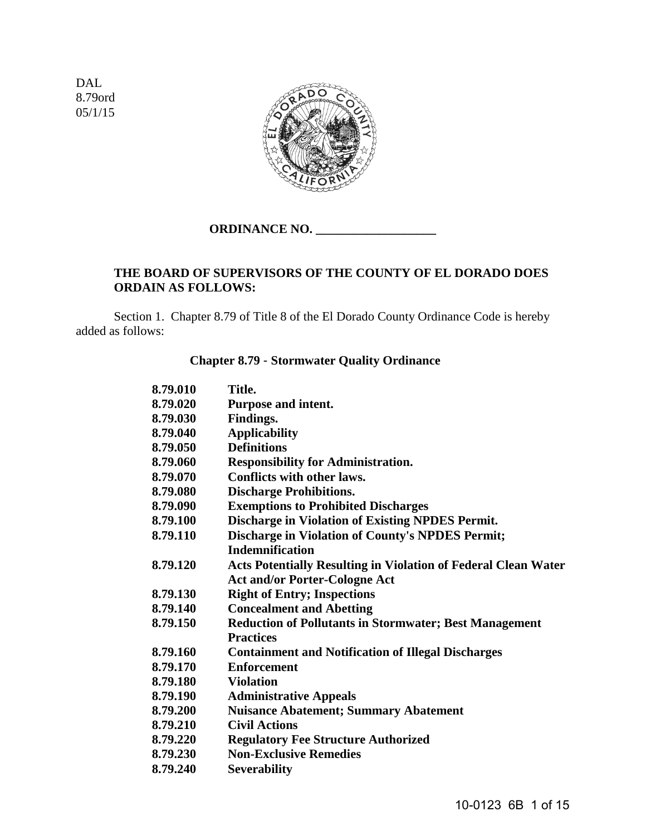DAL 8.79ord 05/1/15



## **ORDINANCE NO. \_\_\_\_\_\_\_\_\_\_\_\_\_\_\_\_\_\_\_**

## **THE BOARD OF SUPERVISORS OF THE COUNTY OF EL DORADO DOES ORDAIN AS FOLLOWS:**

 Section 1. Chapter 8.79 of Title 8 of the El Dorado County Ordinance Code is hereby added as follows:

#### **Chapter 8.79** - **Stormwater Quality Ordinance**

| 8.79.010 | Title.                                                                |
|----------|-----------------------------------------------------------------------|
| 8.79.020 | Purpose and intent.                                                   |
| 8.79.030 | Findings.                                                             |
| 8.79.040 | <b>Applicability</b>                                                  |
| 8.79.050 | <b>Definitions</b>                                                    |
| 8.79.060 | <b>Responsibility for Administration.</b>                             |
| 8.79.070 | <b>Conflicts with other laws.</b>                                     |
| 8.79.080 | <b>Discharge Prohibitions.</b>                                        |
| 8.79.090 | <b>Exemptions to Prohibited Discharges</b>                            |
| 8.79.100 | Discharge in Violation of Existing NPDES Permit.                      |
| 8.79.110 | <b>Discharge in Violation of County's NPDES Permit;</b>               |
|          | <b>Indemnification</b>                                                |
| 8.79.120 | <b>Acts Potentially Resulting in Violation of Federal Clean Water</b> |
|          | <b>Act and/or Porter-Cologne Act</b>                                  |
| 8.79.130 | <b>Right of Entry; Inspections</b>                                    |
| 8.79.140 | <b>Concealment and Abetting</b>                                       |
| 8.79.150 | <b>Reduction of Pollutants in Stormwater; Best Management</b>         |
|          | <b>Practices</b>                                                      |
| 8.79.160 | <b>Containment and Notification of Illegal Discharges</b>             |
| 8.79.170 | <b>Enforcement</b>                                                    |
| 8.79.180 | <b>Violation</b>                                                      |
| 8.79.190 | <b>Administrative Appeals</b>                                         |
| 8.79.200 | <b>Nuisance Abatement; Summary Abatement</b>                          |
| 8.79.210 | <b>Civil Actions</b>                                                  |
| 8.79.220 | <b>Regulatory Fee Structure Authorized</b>                            |
| 8.79.230 | <b>Non-Exclusive Remedies</b>                                         |
| 8.79.240 | <b>Severability</b>                                                   |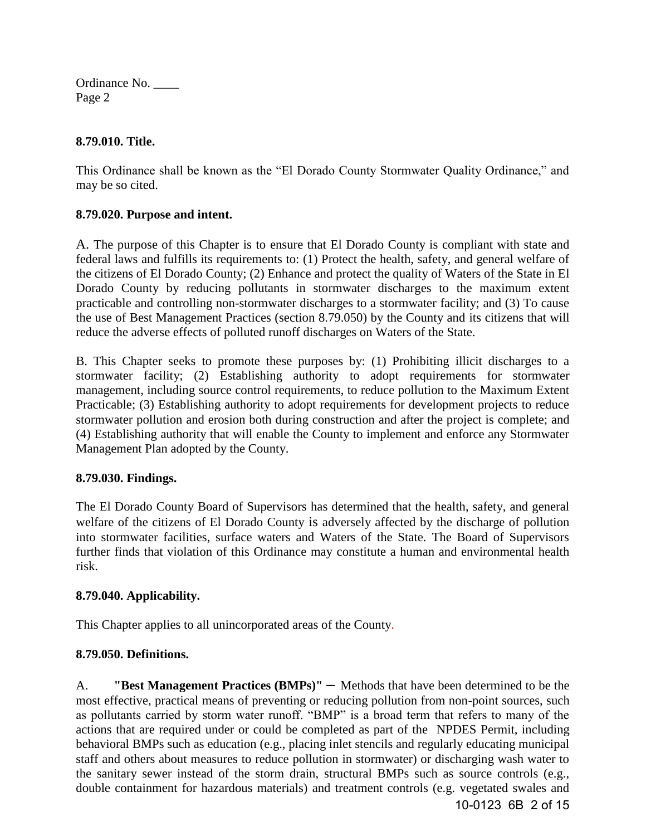#### **8.79.010. Title.**

This Ordinance shall be known as the "El Dorado County Stormwater Quality Ordinance," and may be so cited.

## **8.79.020. Purpose and intent.**

A. The purpose of this Chapter is to ensure that El Dorado County is compliant with state and federal laws and fulfills its requirements to: (1) Protect the health, safety, and general welfare of the citizens of El Dorado County; (2) Enhance and protect the quality of Waters of the State in El Dorado County by reducing pollutants in stormwater discharges to the maximum extent practicable and controlling non-stormwater discharges to a stormwater facility; and (3) To cause the use of Best Management Practices (section 8.79.050) by the County and its citizens that will reduce the adverse effects of polluted runoff discharges on Waters of the State.

B. This Chapter seeks to promote these purposes by: (1) Prohibiting illicit discharges to a stormwater facility; (2) Establishing authority to adopt requirements for stormwater management, including source control requirements, to reduce pollution to the Maximum Extent Practicable; (3) Establishing authority to adopt requirements for development projects to reduce stormwater pollution and erosion both during construction and after the project is complete; and (4) Establishing authority that will enable the County to implement and enforce any Stormwater Management Plan adopted by the County.

## **8.79.030. Findings.**

The El Dorado County Board of Supervisors has determined that the health, safety, and general welfare of the citizens of El Dorado County is adversely affected by the discharge of pollution into stormwater facilities, surface waters and Waters of the State. The Board of Supervisors further finds that violation of this Ordinance may constitute a human and environmental health risk.

## **8.79.040. Applicability.**

This Chapter applies to all unincorporated areas of the County.

#### **8.79.050. Definitions.**

A. **"Best Management Practices (BMPs)"** – Methods that have been determined to be the most effective, practical means of preventing or reducing pollution from non-point sources, such as pollutants carried by storm water runoff. "BMP" is a broad term that refers to many of the actions that are required under or could be completed as part of the NPDES Permit, including behavioral BMPs such as education (e.g., placing inlet stencils and regularly educating municipal staff and others about measures to reduce pollution in stormwater) or discharging wash water to the sanitary sewer instead of the storm drain, structural BMPs such as source controls (e.g., double containment for hazardous materials) and treatment controls (e.g. vegetated swales and 10-0123 6B 2 of 15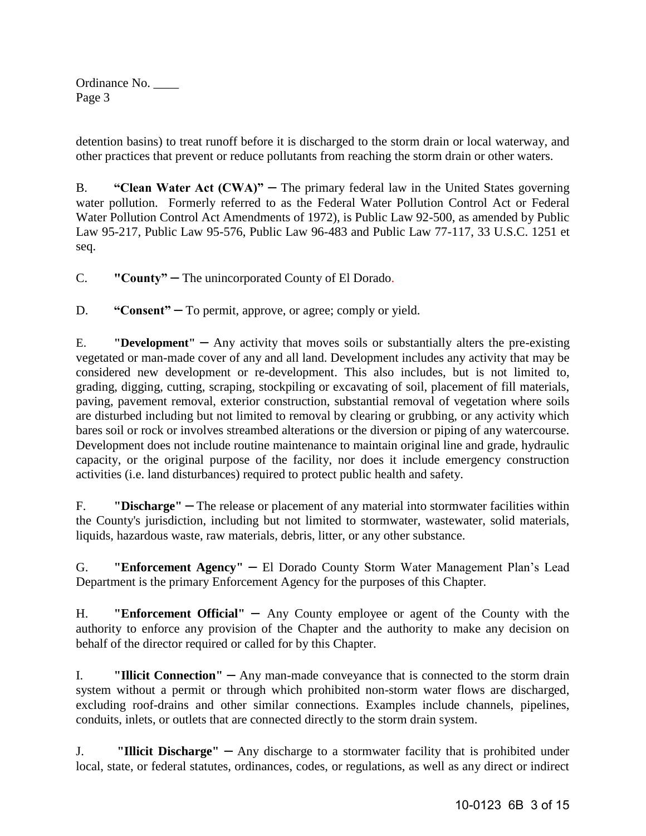detention basins) to treat runoff before it is discharged to the storm drain or local waterway, and other practices that prevent or reduce pollutants from reaching the storm drain or other waters.

B. **"Clean Water Act (CWA)"** – The primary [federal law](http://en.wikipedia.org/wiki/Federal_law) in the [United States](http://en.wikipedia.org/wiki/United_States) governing [water pollution.](http://en.wikipedia.org/wiki/Water_pollution) Formerly referred to as the Federal Water Pollution Control Act or Federal Water Pollution Control Act Amendments of 1972), is Public Law 92-500, as amended by Public Law 95-217, Public Law 95-576, Public Law 96-483 and Public Law 77-117, 33 U.S.C. 1251 et seq.

C. **"County"** – The unincorporated County of El Dorado.

D. **"Consent"** – To permit, approve, or agree; comply or yield.

E. **"Development"** – Any activity that moves soils or substantially alters the pre-existing vegetated or man-made cover of any and all land. Development includes any activity that may be considered new development or re-development. This also includes, but is not limited to, grading, digging, cutting, scraping, stockpiling or excavating of soil, placement of fill materials, paving, pavement removal, exterior construction, substantial removal of vegetation where soils are disturbed including but not limited to removal by clearing or grubbing, or any activity which bares soil or rock or involves streambed alterations or the diversion or piping of any watercourse. Development does not include routine maintenance to maintain original line and grade, hydraulic capacity, or the original purpose of the facility, nor does it include emergency construction activities (i.e. land disturbances) required to protect public health and safety.

F. **"Discharge"** – The release or placement of any material into stormwater facilities within the County's jurisdiction, including but not limited to stormwater, wastewater, solid materials, liquids, hazardous waste, raw materials, debris, litter, or any other substance.

G. **"Enforcement Agency"** – El Dorado County Storm Water Management Plan's Lead Department is the primary Enforcement Agency for the purposes of this Chapter.

H. **"Enforcement Official"** – Any County employee or agent of the County with the authority to enforce any provision of the Chapter and the authority to make any decision on behalf of the director required or called for by this Chapter.

I. **"Illicit Connection"** — Any man-made conveyance that is connected to the storm drain system without a permit or through which prohibited non-storm water flows are discharged, excluding roof-drains and other similar connections. Examples include channels, pipelines, conduits, inlets, or outlets that are connected directly to the storm drain system.

J. **"Illicit Discharge"** – Any discharge to a stormwater facility that is prohibited under local, state, or federal statutes, ordinances, codes, or regulations, as well as any direct or indirect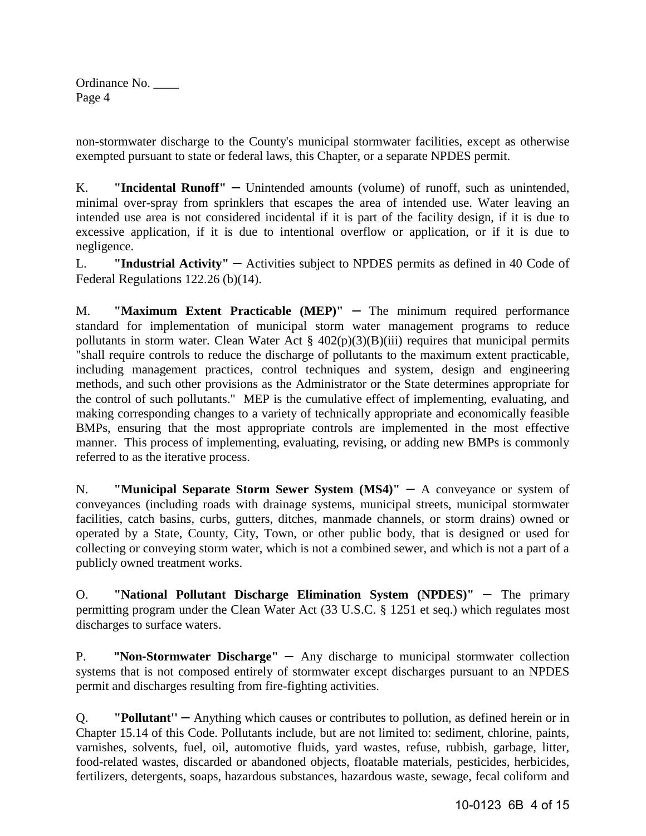non-stormwater discharge to the County's municipal stormwater facilities, except as otherwise exempted pursuant to state or federal laws, this Chapter, or a separate NPDES permit.

K. **"Incidental Runoff"** – Unintended amounts (volume) of runoff, such as unintended, minimal over-spray from sprinklers that escapes the area of intended use. Water leaving an intended use area is not considered incidental if it is part of the facility design, if it is due to excessive application, if it is due to intentional overflow or application, or if it is due to negligence.

L. **"Industrial Activity"** — Activities subject to NPDES permits as defined in 40 Code of Federal Regulations 122.26 (b)(14).

M. **"Maximum Extent Practicable (MEP)"** – The minimum required performance standard for implementation of municipal storm water management programs to reduce pollutants in storm water. Clean Water Act §  $402(p)(3)(B)(iii)$  requires that municipal permits "shall require controls to reduce the discharge of pollutants to the maximum extent practicable, including management practices, control techniques and system, design and engineering methods, and such other provisions as the Administrator or the State determines appropriate for the control of such pollutants." MEP is the cumulative effect of implementing, evaluating, and making corresponding changes to a variety of technically appropriate and economically feasible BMPs, ensuring that the most appropriate controls are implemented in the most effective manner. This process of implementing, evaluating, revising, or adding new BMPs is commonly referred to as the iterative process.

N. **"Municipal Separate Storm Sewer System (MS4)"** - A conveyance or system of conveyances (including roads with drainage systems, municipal streets, municipal stormwater facilities, catch basins, curbs, gutters, ditches, manmade channels, or storm drains) owned or operated by a State, County, City, Town, or other public body, that is designed or used for collecting or conveying storm water, which is not a combined sewer, and which is not a part of a publicly owned treatment works.

O. **"National Pollutant Discharge Elimination System (NPDES)"** – The primary permitting program under the Clean Water Act (33 U.S.C. § 1251 et seq.) which regulates most discharges to surface waters.

P. **"Non-Stormwater Discharge"** – Any discharge to municipal stormwater collection systems that is not composed entirely of stormwater except discharges pursuant to an NPDES permit and discharges resulting from fire-fighting activities.

Q. **"Pollutant''** – Anything which causes or contributes to pollution, as defined herein or in Chapter 15.14 of this Code. Pollutants include, but are not limited to: sediment, chlorine, paints, varnishes, solvents, fuel, oil, automotive fluids, yard wastes, refuse, rubbish, garbage, litter, food-related wastes, discarded or abandoned objects, floatable materials, pesticides, herbicides, fertilizers, detergents, soaps, hazardous substances, hazardous waste, sewage, fecal coliform and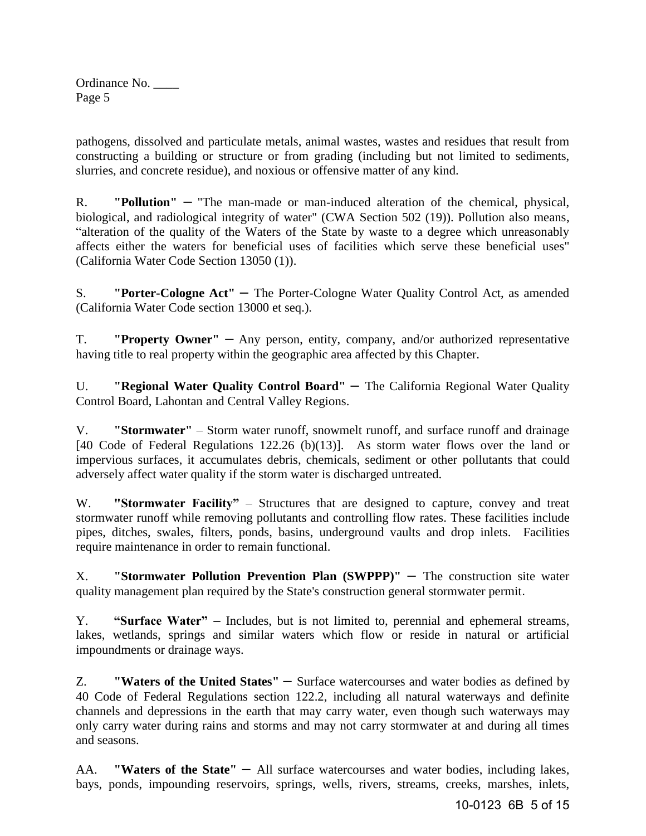pathogens, dissolved and particulate metals, animal wastes, wastes and residues that result from constructing a building or structure or from grading (including but not limited to sediments, slurries, and concrete residue), and noxious or offensive matter of any kind.

R. **"Pollution"** – "The man-made or man-induced alteration of the chemical, physical, biological, and radiological integrity of water" (CWA Section 502 (19)). Pollution also means, "alteration of the quality of the Waters of the State by waste to a degree which unreasonably affects either the waters for beneficial uses of facilities which serve these beneficial uses" (California Water Code Section 13050 (1)).

S. **"Porter-Cologne Act"** – The Porter-Cologne Water Quality Control Act, as amended (California Water Code section 13000 et seq.).

T. **"Property Owner"** – Any person, entity, company, and/or authorized representative having title to real property within the geographic area affected by this Chapter.

U. **"Regional Water Quality Control Board"** – The California Regional Water Quality Control Board, Lahontan and Central Valley Regions.

V. **"Stormwater"** – Storm water runoff, snowmelt runoff, and surface runoff and drainage [40 Code of Federal Regulations 122.26 (b)(13)]. As storm water flows over the land or impervious surfaces, it accumulates debris, chemicals, sediment or other pollutants that could adversely affect water quality if the storm water is discharged untreated.

W. **"Stormwater Facility"** – Structures that are designed to capture, convey and treat stormwater runoff while removing pollutants and controlling flow rates. These facilities include pipes, ditches, swales, filters, ponds, basins, underground vaults and drop inlets. Facilities require maintenance in order to remain functional.

X. **"Stormwater Pollution Prevention Plan (SWPPP)"** – The construction site water quality management plan required by the State's construction general stormwater permit.

Y. **"Surface Water"** – Includes, but is not limited to, perennial and ephemeral streams, lakes, wetlands, springs and similar waters which flow or reside in natural or artificial impoundments or drainage ways.

Z. **"Waters of the United States"** – Surface watercourses and water bodies as defined by 40 Code of Federal Regulations section 122.2, including all natural waterways and definite channels and depressions in the earth that may carry water, even though such waterways may only carry water during rains and storms and may not carry stormwater at and during all times and seasons.

AA. **"Waters of the State"** – All surface watercourses and water bodies, including lakes, bays, ponds, impounding reservoirs, springs, wells, rivers, streams, creeks, marshes, inlets,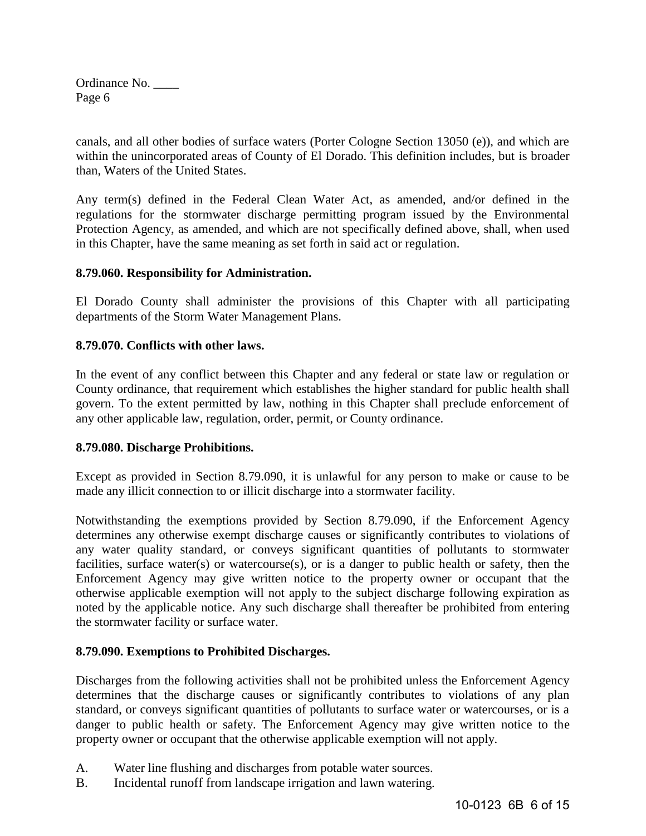canals, and all other bodies of surface waters (Porter Cologne Section 13050 (e)), and which are within the unincorporated areas of County of El Dorado. This definition includes, but is broader than, Waters of the United States.

Any term(s) defined in the Federal Clean Water Act, as amended, and/or defined in the regulations for the stormwater discharge permitting program issued by the Environmental Protection Agency, as amended, and which are not specifically defined above, shall, when used in this Chapter, have the same meaning as set forth in said act or regulation.

#### **8.79.060. Responsibility for Administration.**

El Dorado County shall administer the provisions of this Chapter with all participating departments of the Storm Water Management Plans.

#### **8.79.070. Conflicts with other laws.**

In the event of any conflict between this Chapter and any federal or state law or regulation or County ordinance, that requirement which establishes the higher standard for public health shall govern. To the extent permitted by law, nothing in this Chapter shall preclude enforcement of any other applicable law, regulation, order, permit, or County ordinance.

#### **8.79.080. Discharge Prohibitions.**

Except as provided in Section 8.79.090, it is unlawful for any person to make or cause to be made any illicit connection to or illicit discharge into a stormwater facility.

Notwithstanding the exemptions provided by Section 8.79.090, if the Enforcement Agency determines any otherwise exempt discharge causes or significantly contributes to violations of any water quality standard, or conveys significant quantities of pollutants to stormwater facilities, surface water(s) or watercourse(s), or is a danger to public health or safety, then the Enforcement Agency may give written notice to the property owner or occupant that the otherwise applicable exemption will not apply to the subject discharge following expiration as noted by the applicable notice. Any such discharge shall thereafter be prohibited from entering the stormwater facility or surface water.

#### **8.79.090. Exemptions to Prohibited Discharges.**

Discharges from the following activities shall not be prohibited unless the Enforcement Agency determines that the discharge causes or significantly contributes to violations of any plan standard, or conveys significant quantities of pollutants to surface water or watercourses, or is a danger to public health or safety. The Enforcement Agency may give written notice to the property owner or occupant that the otherwise applicable exemption will not apply.

- A. Water line flushing and discharges from potable water sources.
- B. Incidental runoff from landscape irrigation and lawn watering.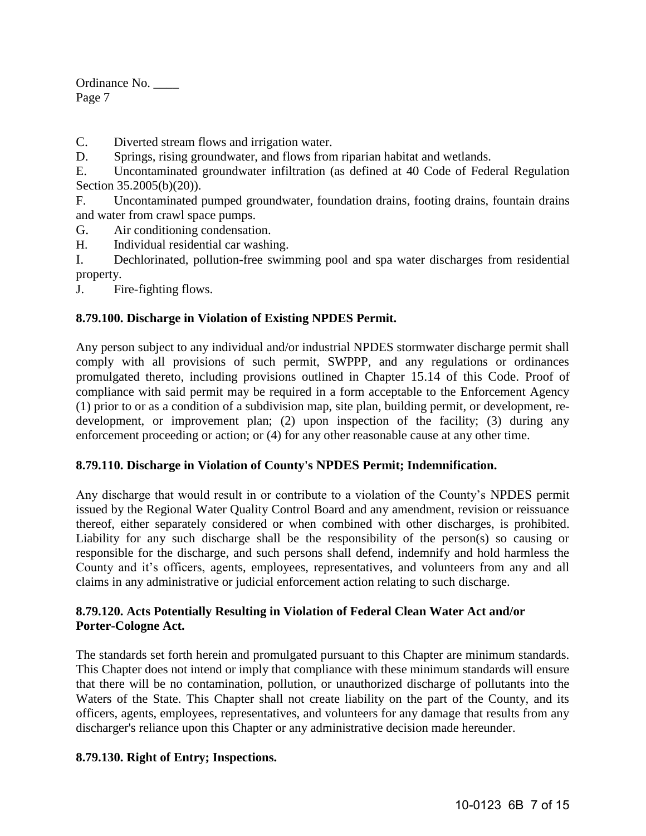C. Diverted stream flows and irrigation water.

D. Springs, rising groundwater, and flows from riparian habitat and wetlands.

E. Uncontaminated groundwater infiltration (as defined at 40 Code of Federal Regulation Section 35.2005(b)(20)).

F. Uncontaminated pumped groundwater, foundation drains, footing drains, fountain drains and water from crawl space pumps.

G. Air conditioning condensation.

H. Individual residential car washing.

I. Dechlorinated, pollution-free swimming pool and spa water discharges from residential property.

J. Fire-fighting flows.

#### **8.79.100. Discharge in Violation of Existing NPDES Permit.**

Any person subject to any individual and/or industrial NPDES stormwater discharge permit shall comply with all provisions of such permit, SWPPP, and any regulations or ordinances promulgated thereto, including provisions outlined in Chapter 15.14 of this Code. Proof of compliance with said permit may be required in a form acceptable to the Enforcement Agency (1) prior to or as a condition of a subdivision map, site plan, building permit, or development, redevelopment, or improvement plan; (2) upon inspection of the facility; (3) during any enforcement proceeding or action; or (4) for any other reasonable cause at any other time.

#### **8.79.110. Discharge in Violation of County's NPDES Permit; Indemnification.**

Any discharge that would result in or contribute to a violation of the County's NPDES permit issued by the Regional Water Quality Control Board and any amendment, revision or reissuance thereof, either separately considered or when combined with other discharges, is prohibited. Liability for any such discharge shall be the responsibility of the person(s) so causing or responsible for the discharge, and such persons shall defend, indemnify and hold harmless the County and it's officers, agents, employees, representatives, and volunteers from any and all claims in any administrative or judicial enforcement action relating to such discharge.

#### **8.79.120. Acts Potentially Resulting in Violation of Federal Clean Water Act and/or Porter-Cologne Act.**

The standards set forth herein and promulgated pursuant to this Chapter are minimum standards. This Chapter does not intend or imply that compliance with these minimum standards will ensure that there will be no contamination, pollution, or unauthorized discharge of pollutants into the Waters of the State. This Chapter shall not create liability on the part of the County, and its officers, agents, employees, representatives, and volunteers for any damage that results from any discharger's reliance upon this Chapter or any administrative decision made hereunder.

#### **8.79.130. Right of Entry; Inspections.**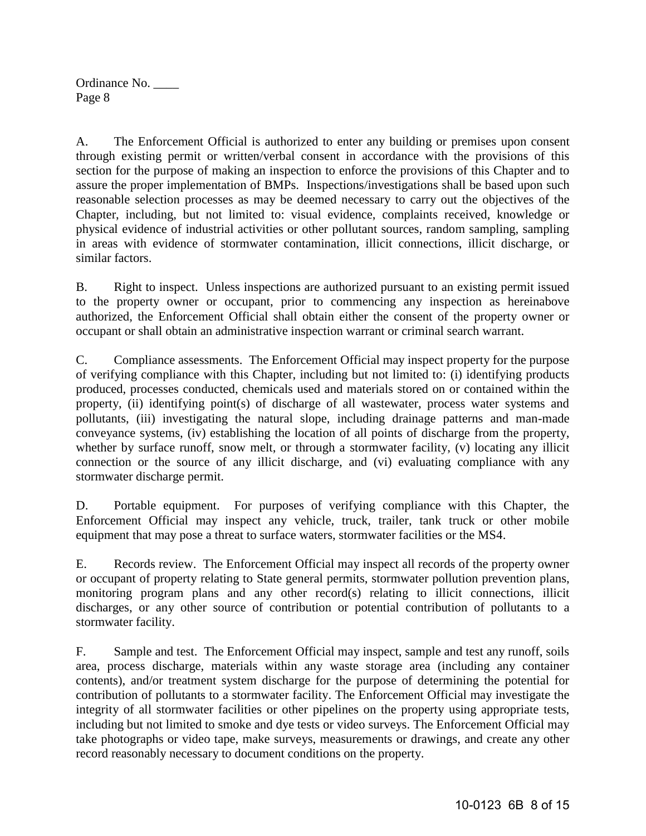A. The Enforcement Official is authorized to enter any building or premises upon consent through existing permit or written/verbal consent in accordance with the provisions of this section for the purpose of making an inspection to enforce the provisions of this Chapter and to assure the proper implementation of BMPs. Inspections/investigations shall be based upon such reasonable selection processes as may be deemed necessary to carry out the objectives of the Chapter, including, but not limited to: visual evidence, complaints received, knowledge or physical evidence of industrial activities or other pollutant sources, random sampling, sampling in areas with evidence of stormwater contamination, illicit connections, illicit discharge, or similar factors.

B. Right to inspect. Unless inspections are authorized pursuant to an existing permit issued to the property owner or occupant, prior to commencing any inspection as hereinabove authorized, the Enforcement Official shall obtain either the consent of the property owner or occupant or shall obtain an administrative inspection warrant or criminal search warrant.

C. Compliance assessments. The Enforcement Official may inspect property for the purpose of verifying compliance with this Chapter, including but not limited to: (i) identifying products produced, processes conducted, chemicals used and materials stored on or contained within the property, (ii) identifying point(s) of discharge of all wastewater, process water systems and pollutants, (iii) investigating the natural slope, including drainage patterns and man-made conveyance systems, (iv) establishing the location of all points of discharge from the property, whether by surface runoff, snow melt, or through a stormwater facility, (v) locating any illicit connection or the source of any illicit discharge, and (vi) evaluating compliance with any stormwater discharge permit.

D. Portable equipment. For purposes of verifying compliance with this Chapter, the Enforcement Official may inspect any vehicle, truck, trailer, tank truck or other mobile equipment that may pose a threat to surface waters, stormwater facilities or the MS4.

E. Records review. The Enforcement Official may inspect all records of the property owner or occupant of property relating to State general permits, stormwater pollution prevention plans, monitoring program plans and any other record(s) relating to illicit connections, illicit discharges, or any other source of contribution or potential contribution of pollutants to a stormwater facility.

F. Sample and test. The Enforcement Official may inspect, sample and test any runoff, soils area, process discharge, materials within any waste storage area (including any container contents), and/or treatment system discharge for the purpose of determining the potential for contribution of pollutants to a stormwater facility. The Enforcement Official may investigate the integrity of all stormwater facilities or other pipelines on the property using appropriate tests, including but not limited to smoke and dye tests or video surveys. The Enforcement Official may take photographs or video tape, make surveys, measurements or drawings, and create any other record reasonably necessary to document conditions on the property.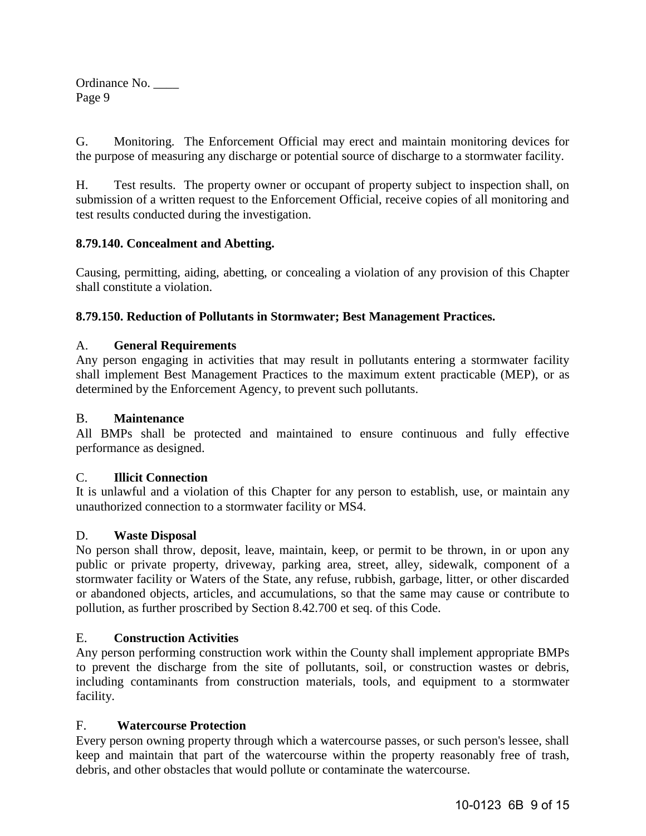G. Monitoring. The Enforcement Official may erect and maintain monitoring devices for the purpose of measuring any discharge or potential source of discharge to a stormwater facility.

H. Test results. The property owner or occupant of property subject to inspection shall, on submission of a written request to the Enforcement Official, receive copies of all monitoring and test results conducted during the investigation.

## **8.79.140. Concealment and Abetting.**

Causing, permitting, aiding, abetting, or concealing a violation of any provision of this Chapter shall constitute a violation.

## **8.79.150. Reduction of Pollutants in Stormwater; Best Management Practices.**

## A. **General Requirements**

Any person engaging in activities that may result in pollutants entering a stormwater facility shall implement Best Management Practices to the maximum extent practicable (MEP), or as determined by the Enforcement Agency, to prevent such pollutants.

## B. **Maintenance**

All BMPs shall be protected and maintained to ensure continuous and fully effective performance as designed.

## C. **Illicit Connection**

It is unlawful and a violation of this Chapter for any person to establish, use, or maintain any unauthorized connection to a stormwater facility or MS4.

## D. **Waste Disposal**

No person shall throw, deposit, leave, maintain, keep, or permit to be thrown, in or upon any public or private property, driveway, parking area, street, alley, sidewalk, component of a stormwater facility or Waters of the State, any refuse, rubbish, garbage, litter, or other discarded or abandoned objects, articles, and accumulations, so that the same may cause or contribute to pollution, as further proscribed by Section 8.42.700 et seq. of this Code.

## E. **Construction Activities**

Any person performing construction work within the County shall implement appropriate BMPs to prevent the discharge from the site of pollutants, soil, or construction wastes or debris, including contaminants from construction materials, tools, and equipment to a stormwater facility.

## F. **Watercourse Protection**

Every person owning property through which a watercourse passes, or such person's lessee, shall keep and maintain that part of the watercourse within the property reasonably free of trash, debris, and other obstacles that would pollute or contaminate the watercourse.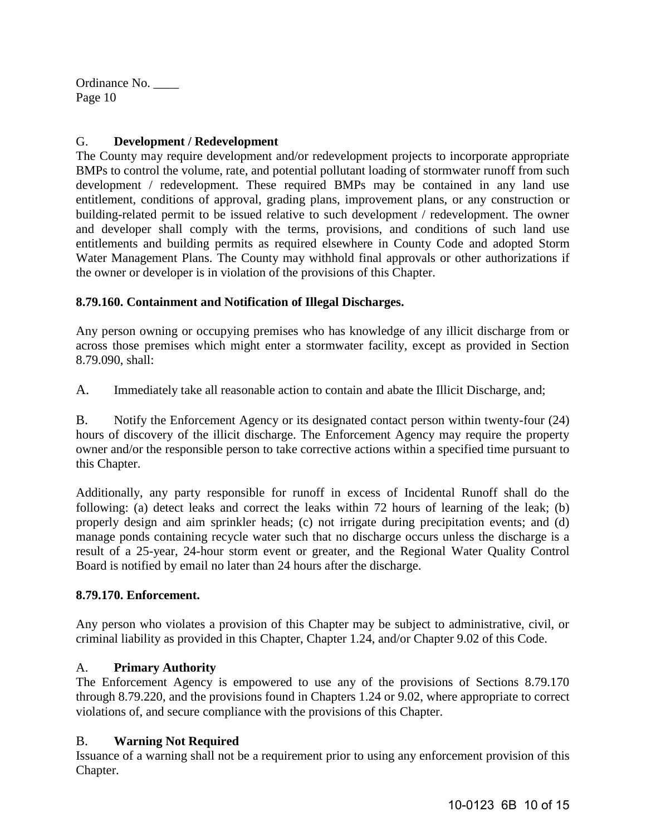## G. **Development / Redevelopment**

The County may require development and/or redevelopment projects to incorporate appropriate BMPs to control the volume, rate, and potential pollutant loading of stormwater runoff from such development / redevelopment. These required BMPs may be contained in any land use entitlement, conditions of approval, grading plans, improvement plans, or any construction or building-related permit to be issued relative to such development / redevelopment. The owner and developer shall comply with the terms, provisions, and conditions of such land use entitlements and building permits as required elsewhere in County Code and adopted Storm Water Management Plans. The County may withhold final approvals or other authorizations if the owner or developer is in violation of the provisions of this Chapter.

## **8.79.160. Containment and Notification of Illegal Discharges.**

Any person owning or occupying premises who has knowledge of any illicit discharge from or across those premises which might enter a stormwater facility, except as provided in Section 8.79.090, shall:

A. Immediately take all reasonable action to contain and abate the Illicit Discharge, and;

B. Notify the Enforcement Agency or its designated contact person within twenty-four (24) hours of discovery of the illicit discharge. The Enforcement Agency may require the property owner and/or the responsible person to take corrective actions within a specified time pursuant to this Chapter.

Additionally, any party responsible for runoff in excess of Incidental Runoff shall do the following: (a) detect leaks and correct the leaks within 72 hours of learning of the leak; (b) properly design and aim sprinkler heads; (c) not irrigate during precipitation events; and (d) manage ponds containing recycle water such that no discharge occurs unless the discharge is a result of a 25-year, 24-hour storm event or greater, and the Regional Water Quality Control Board is notified by email no later than 24 hours after the discharge.

## **8.79.170. Enforcement.**

Any person who violates a provision of this Chapter may be subject to administrative, civil, or criminal liability as provided in this Chapter, Chapter 1.24, and/or Chapter 9.02 of this Code.

# A. **Primary Authority**

The Enforcement Agency is empowered to use any of the provisions of Sections 8.79.170 through 8.79.220, and the provisions found in Chapters 1.24 or 9.02, where appropriate to correct violations of, and secure compliance with the provisions of this Chapter.

## B. **Warning Not Required**

Issuance of a warning shall not be a requirement prior to using any enforcement provision of this Chapter.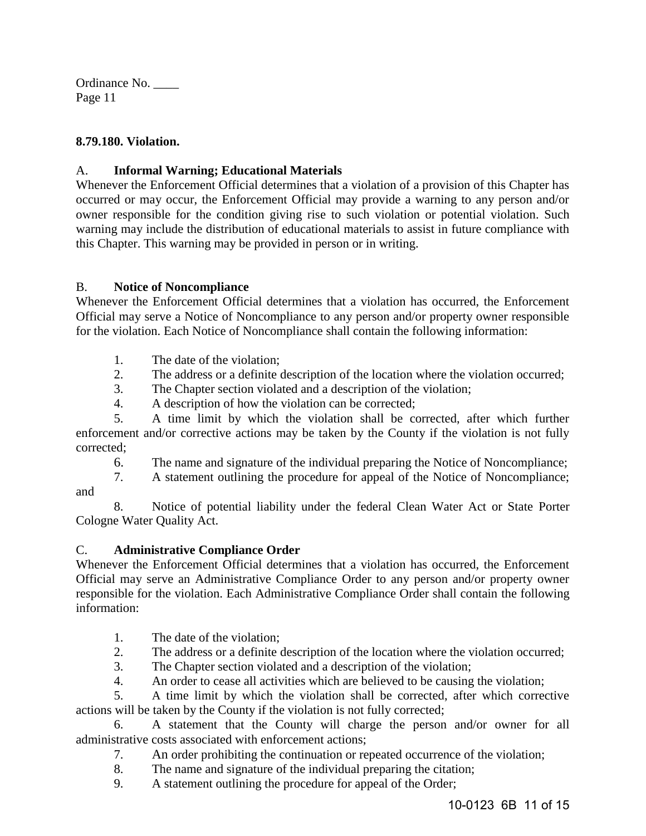#### **8.79.180. Violation.**

#### A. **Informal Warning; Educational Materials**

Whenever the Enforcement Official determines that a violation of a provision of this Chapter has occurred or may occur, the Enforcement Official may provide a warning to any person and/or owner responsible for the condition giving rise to such violation or potential violation. Such warning may include the distribution of educational materials to assist in future compliance with this Chapter. This warning may be provided in person or in writing.

#### B. **Notice of Noncompliance**

Whenever the Enforcement Official determines that a violation has occurred, the Enforcement Official may serve a Notice of Noncompliance to any person and/or property owner responsible for the violation. Each Notice of Noncompliance shall contain the following information:

- 1. The date of the violation;
- 2. The address or a definite description of the location where the violation occurred;
- 3. The Chapter section violated and a description of the violation;
- 4. A description of how the violation can be corrected;

5. A time limit by which the violation shall be corrected, after which further enforcement and/or corrective actions may be taken by the County if the violation is not fully corrected;

6. The name and signature of the individual preparing the Notice of Noncompliance;

7. A statement outlining the procedure for appeal of the Notice of Noncompliance; and

 8. Notice of potential liability under the federal Clean Water Act or State Porter Cologne Water Quality Act.

## C. **Administrative Compliance Order**

Whenever the Enforcement Official determines that a violation has occurred, the Enforcement Official may serve an Administrative Compliance Order to any person and/or property owner responsible for the violation. Each Administrative Compliance Order shall contain the following information:

- 1. The date of the violation;
- 2. The address or a definite description of the location where the violation occurred;
- 3. The Chapter section violated and a description of the violation;
- 4. An order to cease all activities which are believed to be causing the violation;

5. A time limit by which the violation shall be corrected, after which corrective actions will be taken by the County if the violation is not fully corrected;

 6. A statement that the County will charge the person and/or owner for all administrative costs associated with enforcement actions;

- 7. An order prohibiting the continuation or repeated occurrence of the violation;
- 8. The name and signature of the individual preparing the citation;
- 9. A statement outlining the procedure for appeal of the Order;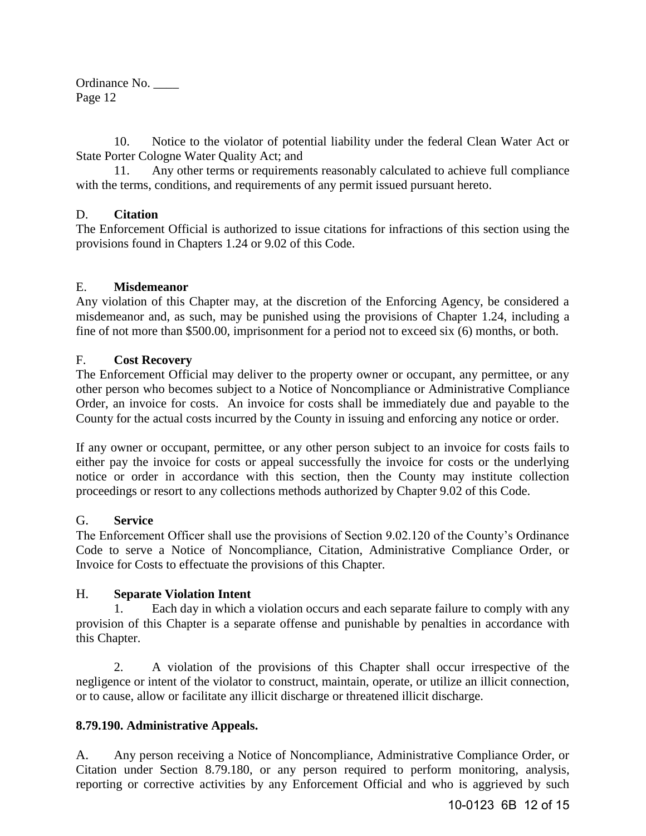10. Notice to the violator of potential liability under the federal Clean Water Act or State Porter Cologne Water Quality Act; and

 11. Any other terms or requirements reasonably calculated to achieve full compliance with the terms, conditions, and requirements of any permit issued pursuant hereto.

#### D. **Citation**

The Enforcement Official is authorized to issue citations for infractions of this section using the provisions found in Chapters 1.24 or 9.02 of this Code.

#### E. **Misdemeanor**

Any violation of this Chapter may, at the discretion of the Enforcing Agency, be considered a misdemeanor and, as such, may be punished using the provisions of Chapter 1.24, including a fine of not more than \$500.00, imprisonment for a period not to exceed six (6) months, or both.

#### F. **Cost Recovery**

The Enforcement Official may deliver to the property owner or occupant, any permittee, or any other person who becomes subject to a Notice of Noncompliance or Administrative Compliance Order, an invoice for costs. An invoice for costs shall be immediately due and payable to the County for the actual costs incurred by the County in issuing and enforcing any notice or order.

If any owner or occupant, permittee, or any other person subject to an invoice for costs fails to either pay the invoice for costs or appeal successfully the invoice for costs or the underlying notice or order in accordance with this section, then the County may institute collection proceedings or resort to any collections methods authorized by Chapter 9.02 of this Code.

#### G. **Service**

The Enforcement Officer shall use the provisions of Section 9.02.120 of the County's Ordinance Code to serve a Notice of Noncompliance, Citation, Administrative Compliance Order, or Invoice for Costs to effectuate the provisions of this Chapter.

#### H. **Separate Violation Intent**

 1. Each day in which a violation occurs and each separate failure to comply with any provision of this Chapter is a separate offense and punishable by penalties in accordance with this Chapter.

 2. A violation of the provisions of this Chapter shall occur irrespective of the negligence or intent of the violator to construct, maintain, operate, or utilize an illicit connection, or to cause, allow or facilitate any illicit discharge or threatened illicit discharge.

## **8.79.190. Administrative Appeals.**

A. Any person receiving a Notice of Noncompliance, Administrative Compliance Order, or Citation under Section 8.79.180, or any person required to perform monitoring, analysis, reporting or corrective activities by any Enforcement Official and who is aggrieved by such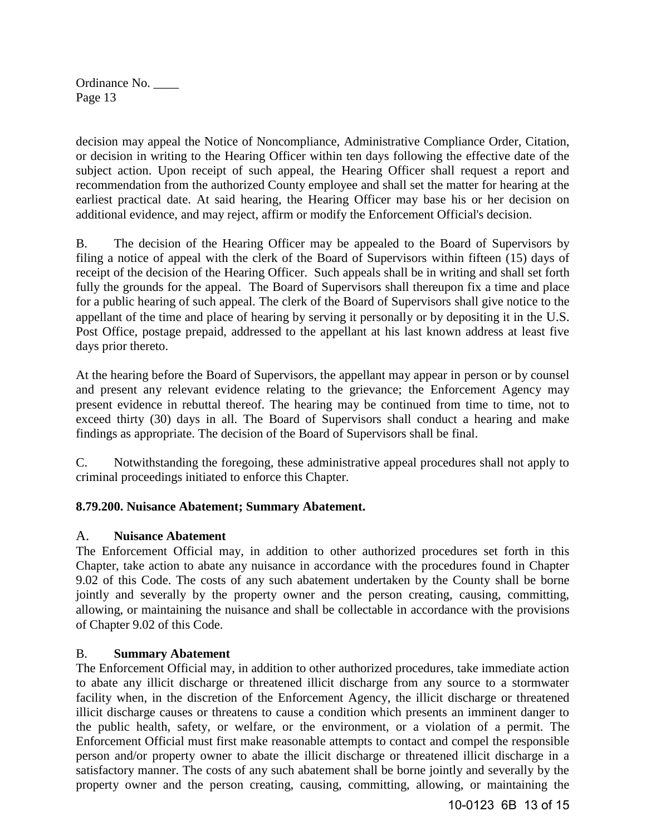decision may appeal the Notice of Noncompliance, Administrative Compliance Order, Citation, or decision in writing to the Hearing Officer within ten days following the effective date of the subject action. Upon receipt of such appeal, the Hearing Officer shall request a report and recommendation from the authorized County employee and shall set the matter for hearing at the earliest practical date. At said hearing, the Hearing Officer may base his or her decision on additional evidence, and may reject, affirm or modify the Enforcement Official's decision.

B.The decision of the Hearing Officer may be appealed to the Board of Supervisors by filing a notice of appeal with the clerk of the Board of Supervisors within fifteen (15) days of receipt of the decision of the Hearing Officer. Such appeals shall be in writing and shall set forth fully the grounds for the appeal. The Board of Supervisors shall thereupon fix a time and place for a public hearing of such appeal. The clerk of the Board of Supervisors shall give notice to the appellant of the time and place of hearing by serving it personally or by depositing it in the U.S. Post Office, postage prepaid, addressed to the appellant at his last known address at least five days prior thereto.

At the hearing before the Board of Supervisors, the appellant may appear in person or by counsel and present any relevant evidence relating to the grievance; the Enforcement Agency may present evidence in rebuttal thereof. The hearing may be continued from time to time, not to exceed thirty (30) days in all. The Board of Supervisors shall conduct a hearing and make findings as appropriate. The decision of the Board of Supervisors shall be final.

C. Notwithstanding the foregoing, these administrative appeal procedures shall not apply to criminal proceedings initiated to enforce this Chapter.

## **8.79.200. Nuisance Abatement; Summary Abatement.**

## A. **Nuisance Abatement**

The Enforcement Official may, in addition to other authorized procedures set forth in this Chapter, take action to abate any nuisance in accordance with the procedures found in Chapter 9.02 of this Code. The costs of any such abatement undertaken by the County shall be borne jointly and severally by the property owner and the person creating, causing, committing, allowing, or maintaining the nuisance and shall be collectable in accordance with the provisions of Chapter 9.02 of this Code.

#### B. **Summary Abatement**

The Enforcement Official may, in addition to other authorized procedures, take immediate action to abate any illicit discharge or threatened illicit discharge from any source to a stormwater facility when, in the discretion of the Enforcement Agency, the illicit discharge or threatened illicit discharge causes or threatens to cause a condition which presents an imminent danger to the public health, safety, or welfare, or the environment, or a violation of a permit. The Enforcement Official must first make reasonable attempts to contact and compel the responsible person and/or property owner to abate the illicit discharge or threatened illicit discharge in a satisfactory manner. The costs of any such abatement shall be borne jointly and severally by the property owner and the person creating, causing, committing, allowing, or maintaining the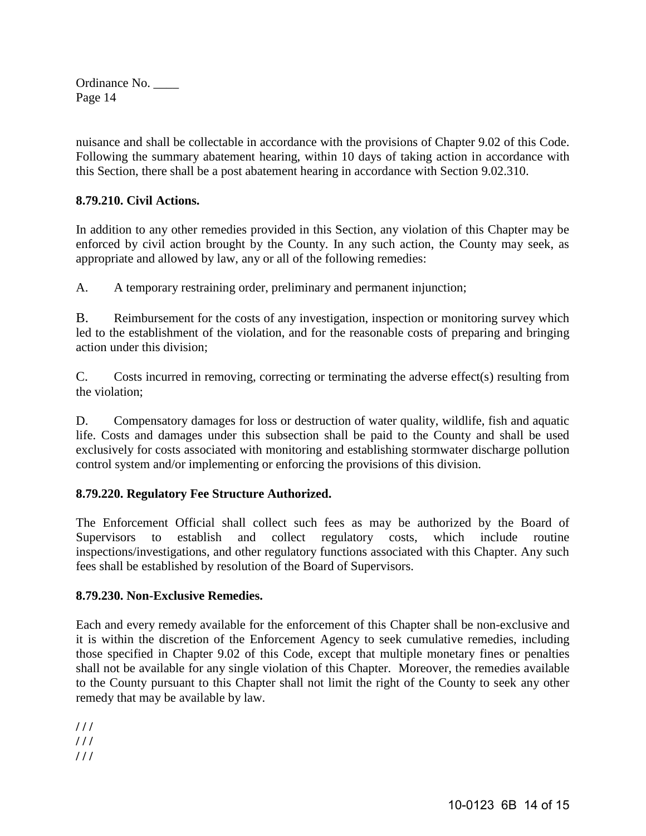nuisance and shall be collectable in accordance with the provisions of Chapter 9.02 of this Code. Following the summary abatement hearing, within 10 days of taking action in accordance with this Section, there shall be a post abatement hearing in accordance with Section 9.02.310.

## **8.79.210. Civil Actions.**

In addition to any other remedies provided in this Section, any violation of this Chapter may be enforced by civil action brought by the County. In any such action, the County may seek, as appropriate and allowed by law, any or all of the following remedies:

A. A temporary restraining order, preliminary and permanent injunction;

B. Reimbursement for the costs of any investigation, inspection or monitoring survey which led to the establishment of the violation, and for the reasonable costs of preparing and bringing action under this division;

C. Costs incurred in removing, correcting or terminating the adverse effect(s) resulting from the violation;

D. Compensatory damages for loss or destruction of water quality, wildlife, fish and aquatic life. Costs and damages under this subsection shall be paid to the County and shall be used exclusively for costs associated with monitoring and establishing stormwater discharge pollution control system and/or implementing or enforcing the provisions of this division.

## **8.79.220. Regulatory Fee Structure Authorized.**

The Enforcement Official shall collect such fees as may be authorized by the Board of Supervisors to establish and collect regulatory costs, which include routine inspections/investigations, and other regulatory functions associated with this Chapter. Any such fees shall be established by resolution of the Board of Supervisors.

## **8.79.230. Non-Exclusive Remedies.**

Each and every remedy available for the enforcement of this Chapter shall be non-exclusive and it is within the discretion of the Enforcement Agency to seek cumulative remedies, including those specified in Chapter 9.02 of this Code, except that multiple monetary fines or penalties shall not be available for any single violation of this Chapter. Moreover, the remedies available to the County pursuant to this Chapter shall not limit the right of the County to seek any other remedy that may be available by law.

**/ / / / / / / / /**